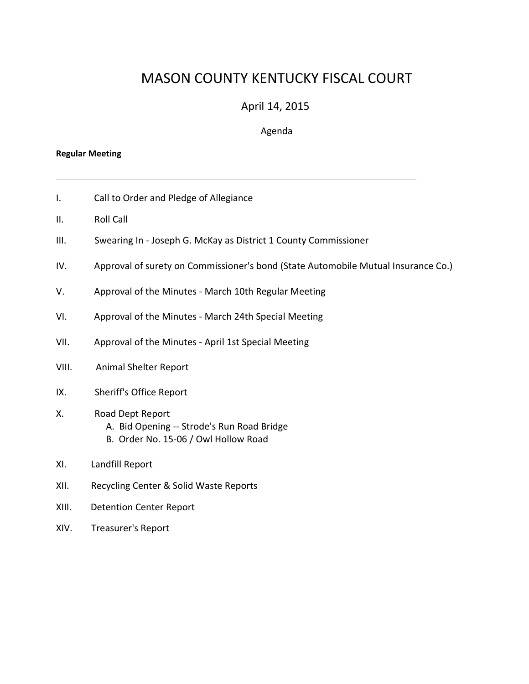# MASON COUNTY KENTUCKY FISCAL COURT

# April 14, 2015

### Agenda

#### **Regular Meeting**

- I. Call to Order and Pledge of Allegiance
- II. Roll Call
- III. Swearing In ‐ Joseph G. McKay as District 1 County Commissioner
- IV. Approval of surety on Commissioner's bond (State Automobile Mutual Insurance Co.)

- V. Approval of the Minutes March 10th Regular Meeting
- VI. Approval of the Minutes ‐ March 24th Special Meeting
- VII. Approval of the Minutes ‐ April 1st Special Meeting
- VIII. Animal Shelter Report
- IX. Sheriff's Office Report
- X. Road Dept Report
	- A. Bid Opening ‐‐ Strode's Run Road Bridge
	- B. Order No. 15‐06 / Owl Hollow Road
- XI. Landfill Report
- XII. Recycling Center & Solid Waste Reports
- XIII. Detention Center Report
- XIV. Treasurer's Report